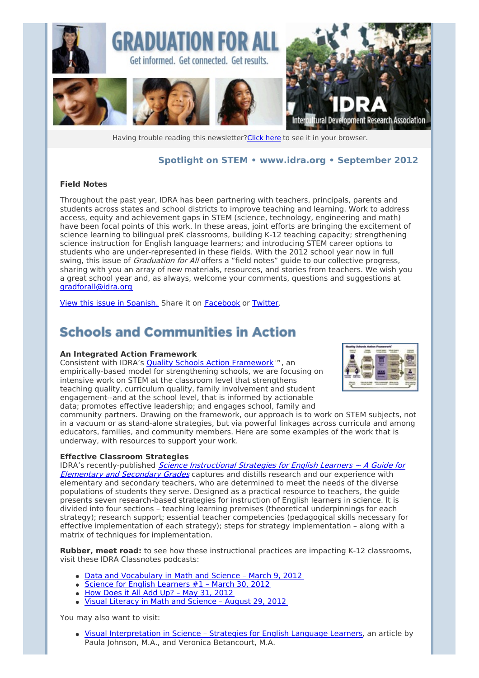

Having trouble reading this newsletter? Click here to see it in your browser.

### **Spotlight on STEM • [www.idra.org](http://newsletter.impulsedevelopment.com/t/r-l-ktlund-l-t/) • September 2012**

#### **Field Notes**

Throughout the past year, IDRA has been partnering with teachers, principals, parents and students across states and school districts to improve teaching and learning. Work to address access, equity and achievement gaps in STEM (science, technology, engineering and math) have been focal points of this work. In these areas, joint efforts are bringing the excitement of science learning to bilingual preK classrooms, building K-12 teaching capacity; strengthening science instruction for English language learners; and introducing STEM career options to students who are under-represented in these fields. With the 2012 school year now in full swing, this issue of *Graduation for All* offers a "field notes" guide to our collective progress, sharing with you an array of new materials, resources, and stories from teachers. We wish you a great school year and, as always, welcome your comments, questions and suggestions at [gradforall@idra.org](mailto:gradforall@idra.org?subject=STEM)

View this issue in [Spanish.](http://newsletter.impulsedevelopment.com/t/r-l-ktlund-l-i/) Share it on [Facebook](/t/r-fb-ktlund-l-jh/?act=wv) or [Twitter](http://newsletter.impulsedevelopment.com/t/r-tw-ktlund-l-jk/).

## **Schools and Communities in Action**

#### **An Integrated Action Framework**

Consistent with IDRA's Quality Schools Action [Framework](http://newsletter.impulsedevelopment.com/t/r-l-ktlund-l-d/)™, an empirically-based model for strengthening schools, we are focusing on intensive work on STEM at the classroom level that strengthens teaching quality, curriculum quality, family involvement and student engagement--and at the school level, that is informed by actionable data; promotes effective leadership; and engages school, family and



community partners. Drawing on the framework, our approach is to work on STEM subjects, not in a vacuum or as stand-alone strategies, but via powerful linkages across curricula and among educators, families, and community members. Here are some examples of the work that is underway, with resources to support your work.

#### **Effective Classroom Strategies**

IDRA's [recently-published](http://newsletter.impulsedevelopment.com/t/r-l-ktlund-l-h/) *Science Instructional Strategies for English Learners*  $\sim$  *A Guide for* Elementary and Secondary Grades captures and distills research and our experience with elementary and secondary teachers, who are determined to meet the needs of the diverse populations of students they serve. Designed as a practical resource to teachers, the guide presents seven research-based strategies for instruction of English learners in science. It is divided into four sections – teaching learning premises (theoretical underpinnings for each strategy); research support; essential teacher competencies (pedagogical skills necessary for effective implementation of each strategy); steps for strategy implementation – along with a matrix of techniques for implementation.

**Rubber, meet road:** to see how these instructional practices are impacting K-12 classrooms, visit these IDRA Classnotes podcasts:

- Data and [Vocabulary](http://newsletter.impulsedevelopment.com/t/r-l-ktlund-l-k/) in Math and Science March 9, 2012
- Science for English [Learners](http://newsletter.impulsedevelopment.com/t/r-l-ktlund-l-n/) #1 March 30, 2012
- How Does it All Add Up? May 31, [2012](http://newsletter.impulsedevelopment.com/t/r-l-ktlund-l-p/)
- Visual [Literacy](http://newsletter.impulsedevelopment.com/t/r-l-ktlund-l-c/) in Math and Science August 29, 2012

You may also want to visit:

• Visual [Interpretation](http://newsletter.impulsedevelopment.com/t/r-l-ktlund-l-q/) in Science - Strategies for English Language Learners, an article by Paula Johnson, M.A., and Veronica Betancourt, M.A.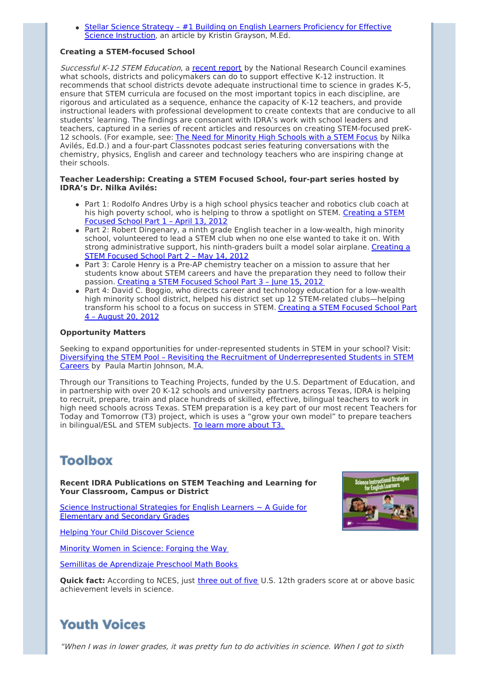Stellar Science Strategy – #1 Building on English Learners Proficiency for Effective Science [Instruction,](http://newsletter.impulsedevelopment.com/t/r-l-ktlund-l-a/) an article by Kristin Grayson, M.Ed.

#### **Creating a STEM-focused School**

Successful K-12 STEM Education, a [recent](http://newsletter.impulsedevelopment.com/t/r-l-ktlund-l-f/) report by the National Research Council examines what schools, districts and policymakers can do to support effective K-12 instruction. It recommends that school districts devote adequate instructional time to science in grades K-5, ensure that STEM curricula are focused on the most important topics in each discipline, are rigorous and articulated as a sequence, enhance the capacity of K-12 teachers, and provide instructional leaders with professional development to create contexts that are conducive to all students' learning. The findings are consonant with IDRA's work with school leaders and teachers, captured in a series of recent articles and resources on creating STEM-focused preK-12 schools. (For example, see: The Need for [Minority](http://newsletter.impulsedevelopment.com/t/r-l-ktlund-l-z/) High Schools with a STEM Focus by Nilka Avilés, Ed.D.) and a four-part Classnotes podcast series featuring conversations with the chemistry, physics, English and career and technology teachers who are inspiring change at their schools.

#### **Teacher Leadership: Creating a STEM Focused School, four-part series hosted by IDRA's Dr. Nilka Avilés:**

- Part 1: Rodolfo Andres Urby is a high school physics teacher and robotics club coach at his high poverty school, who is helping to throw a [spotlight](http://newsletter.impulsedevelopment.com/t/r-l-ktlund-l-v/) on STEM. Creating a STEM Focused School Part 1 – April 13, 2012
- Part 2: Robert Dingenary, a ninth grade English teacher in a low-wealth, high minority school, volunteered to lead a STEM club when no one else wanted to take it on. With strong [administrative](http://newsletter.impulsedevelopment.com/t/r-l-ktlund-l-e/) support, his ninth-graders built a model solar airplane. Creating a STEM Focused School Part 2 – May 14, 2012
- Part 3: Carole Henry is a Pre-AP chemistry teacher on a mission to assure that her students know about STEM careers and have the preparation they need to follow their passion. [Creating](http://newsletter.impulsedevelopment.com/t/r-l-ktlund-l-s/) a STEM Focused School Part 3 – June 15, 2012
- Part 4: David C. Boggio, who directs career and technology education for a low-wealth high minority school district, helped his district set up 12 STEM-related clubs—helping [transform](http://newsletter.impulsedevelopment.com/t/r-l-ktlund-l-g/) his school to a focus on success in STEM. Creating a STEM Focused School Part 4 – August 20, 2012

#### **Opportunity Matters**

Seeking to expand opportunities for under-represented students in STEM in your school? Visit: Diversifying the STEM Pool – Revisiting the Recruitment of [Underrepresented](http://newsletter.impulsedevelopment.com/t/r-l-ktlund-l-w/) Students in STEM Careers by Paula Martin Johnson, M.A.

Through our Transitions to Teaching Projects, funded by the U.S. Department of Education, and in partnership with over 20 K-12 schools and university partners across Texas, IDRA is helping to recruit, prepare, train and place hundreds of skilled, effective, bilingual teachers to work in high need schools across Texas. STEM preparation is a key part of our most recent Teachers for Today and Tomorrow (T3) project, which is uses a "grow your own model" to prepare teachers in bilingual/ESL and STEM subjects. To learn more [about](http://newsletter.impulsedevelopment.com/t/r-l-ktlund-l-yd/) T3.

### **Toolbox**

**Recent IDRA Publications on STEM Teaching and Learning for Your Classroom, Campus or District**

Science [Instructional](http://newsletter.impulsedevelopment.com/t/r-l-ktlund-l-yh/) Strategies for English Learners ~ A Guide for Elementary and Secondary Grades

Helping Your Child [Discover](http://newsletter.impulsedevelopment.com/t/r-l-ktlund-l-yk/) Science

Minority Women in [Science:](http://newsletter.impulsedevelopment.com/t/r-l-ktlund-l-yu/) Forging the Way

Semillitas de [Aprendizaje](http://newsletter.impulsedevelopment.com/t/r-l-ktlund-l-jl/) Preschool Math Books

**Quick fact:** According to NCES, just [three](http://newsletter.impulsedevelopment.com/t/r-l-ktlund-l-jr/) out of five U.S. 12th graders score at or above basic achievement levels in science.

# **Youth Voices**

"When I was in lower grades, it was pretty fun to do activities in science. When I got to sixth